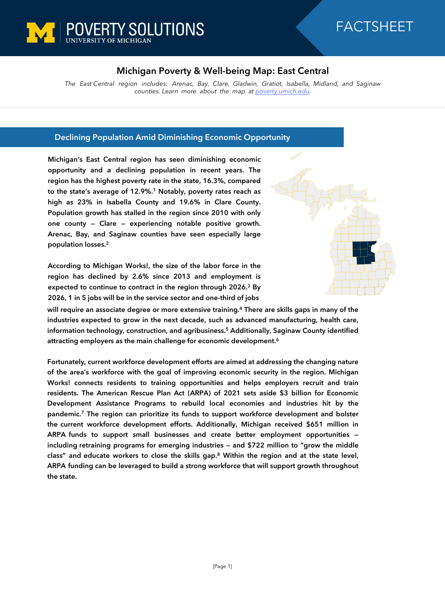

## FACTSHEET

## **Michigan Poverty & Well-being Map: East Central**

*The East Central region includes: Arenac, Bay, Clare, Gladwin, Gratiot, Isabella, Midland, and Saginaw counties. Learn more about the map at [poverty.umich.edu](https://poverty.umich.edu/research-funding-opportunities/data-tools/michigan-poverty-well-being-map/).*

## **Declining Population Amid Diminishing Economic Opportunity**

**Michigan's East Central region has seen diminishing economic opportunity and a declining population in recent years. The region has the highest poverty rate in the state, 16.3%, compared to the state's average of 12.9%.<sup>1</sup> Notably, poverty rates reach as high as 23% in Isabella County and 19.6% in Clare County. Population growth has stalled in the region since 2010 with only one county — Clare — experiencing notable positive growth. Arenac, Bay, and Saginaw counties have seen especially large population losses.<sup>2</sup>**

**According to Michigan Works!, the size of the labor force in the region has declined by 2.6% since 2013 and employment is expected to continue to contract in the region through 2026.<sup>3</sup> By 2026, 1 in 5 jobs will be in the service sector and one-third of jobs**



**will require an associate degree or more extensive training.<sup>4</sup> There are skills gaps in many of the industries expected to grow in the next decade, such as advanced manufacturing, health care, information technology, construction, and agribusiness.<sup>5</sup> Additionally, Saginaw County identified attracting employers as the main challenge for economic development.<sup>6</sup>**

**Fortunately, current workforce development efforts are aimed at addressing the changing nature of the area's workforce with the goal of improving economic security in the region. Michigan Works! connects residents to training opportunities and helps employers recruit and train residents. The American Rescue Plan Act (ARPA) of 2021 sets aside \$3 billion for Economic Development Assistance Programs to rebuild local economies and industries hit by the pandemic.<sup>7</sup> The region can prioritize its funds to support workforce development and bolster the current workforce development efforts. Additionally, Michigan received \$651 million in ARPA funds to support small businesses and create better employment opportunities including retraining programs for emerging industries — and \$722 million to "grow the middle class" and educate workers to close the skills gap.<sup>8</sup> Within the region and at the state level, ARPA funding can be leveraged to build a strong workforce that will support growth throughout the state.**